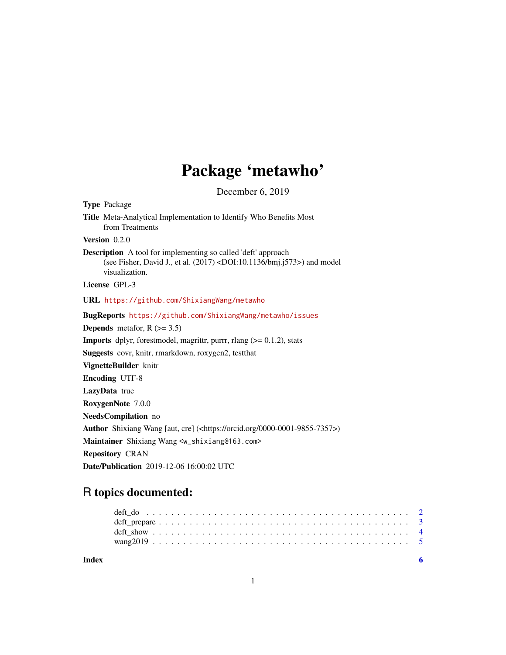# Package 'metawho'

December 6, 2019

<span id="page-0-0"></span>

| <b>Type Package</b>                                                                                                                                                                  |
|--------------------------------------------------------------------------------------------------------------------------------------------------------------------------------------|
| Title Meta-Analytical Implementation to Identify Who Benefits Most<br>from Treatments                                                                                                |
| Version $0.2.0$                                                                                                                                                                      |
| <b>Description</b> A tool for implementing so called 'deft' approach<br>(see Fisher, David J., et al. $(2017)$ <doi:10.1136 bmj.j573="">) and model<br/>visualization.</doi:10.1136> |
| License GPL-3                                                                                                                                                                        |
| URL https://github.com/ShixiangWang/metawho                                                                                                                                          |
| BugReports https://github.com/ShixiangWang/metawho/issues                                                                                                                            |
| <b>Depends</b> metafor, $R$ ( $> = 3.5$ )                                                                                                                                            |
| <b>Imports</b> dplyr, forestmodel, magnitr, purrr, rlang $(>= 0.1.2)$ , stats                                                                                                        |
| Suggests covr, knitr, rmarkdown, roxygen2, testthat                                                                                                                                  |
| VignetteBuilder knitr                                                                                                                                                                |
| <b>Encoding UTF-8</b>                                                                                                                                                                |
| LazyData true                                                                                                                                                                        |
| RoxygenNote 7.0.0                                                                                                                                                                    |
| NeedsCompilation no                                                                                                                                                                  |
| Author Shixiang Wang [aut, cre] ( <https: 0000-0001-9855-7357="" orcid.org="">)</https:>                                                                                             |
| Maintainer Shixiang Wang <w_shixiang@163.com></w_shixiang@163.com>                                                                                                                   |
| <b>Repository CRAN</b>                                                                                                                                                               |
| Date/Publication 2019-12-06 16:00:02 UTC                                                                                                                                             |

# R topics documented:

| Index |  |  |  |  |  |  |  |  |  |  |  |  |  |  |  |  |  |  |
|-------|--|--|--|--|--|--|--|--|--|--|--|--|--|--|--|--|--|--|
|       |  |  |  |  |  |  |  |  |  |  |  |  |  |  |  |  |  |  |
|       |  |  |  |  |  |  |  |  |  |  |  |  |  |  |  |  |  |  |
|       |  |  |  |  |  |  |  |  |  |  |  |  |  |  |  |  |  |  |
|       |  |  |  |  |  |  |  |  |  |  |  |  |  |  |  |  |  |  |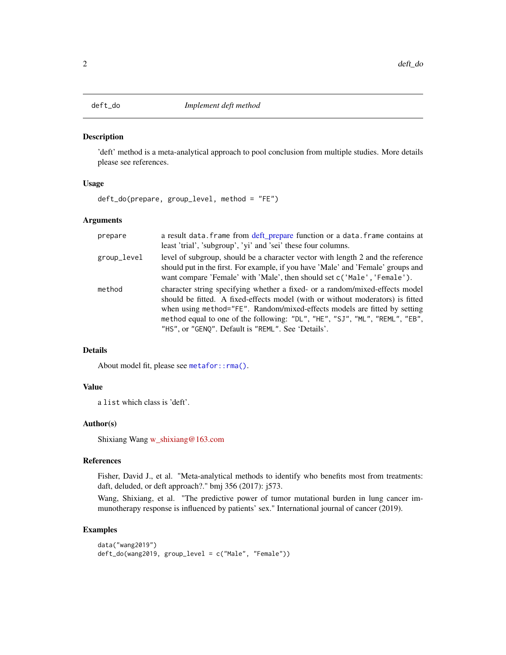<span id="page-1-1"></span><span id="page-1-0"></span>

### Description

'deft' method is a meta-analytical approach to pool conclusion from multiple studies. More details please see references.

#### Usage

deft\_do(prepare, group\_level, method = "FE")

#### Arguments

| prepare     | a result data. Frame from deft_prepare function or a data. Frame contains at<br>least 'trial', 'subgroup', 'yi' and 'sei' these four columns.                                                                                                                                                                                                                                    |
|-------------|----------------------------------------------------------------------------------------------------------------------------------------------------------------------------------------------------------------------------------------------------------------------------------------------------------------------------------------------------------------------------------|
| group_level | level of subgroup, should be a character vector with length 2 and the reference<br>should put in the first. For example, if you have 'Male' and 'Female' groups and<br>want compare 'Female' with 'Male', then should set c('Male', 'Female').                                                                                                                                   |
| method      | character string specifying whether a fixed- or a random/mixed-effects model<br>should be fitted. A fixed-effects model (with or without moderators) is fitted<br>when using method="FE". Random/mixed-effects models are fitted by setting<br>method equal to one of the following: "DL", "HE", "SJ", "ML", "REML", "EB",<br>"HS", or "GENQ". Default is "REML". See 'Details'. |

# Details

About model fit, please see [metafor::rma\(\)](#page-0-0).

# Value

a list which class is 'deft'.

# Author(s)

Shixiang Wang [w\\_shixiang@163.com](mailto:w_shixiang@163.com)

#### References

Fisher, David J., et al. "Meta-analytical methods to identify who benefits most from treatments: daft, deluded, or deft approach?." bmj 356 (2017): j573.

Wang, Shixiang, et al. "The predictive power of tumor mutational burden in lung cancer immunotherapy response is influenced by patients' sex." International journal of cancer (2019).

#### Examples

```
data("wang2019")
deft_do(wang2019, group_level = c("Male", "Female"))
```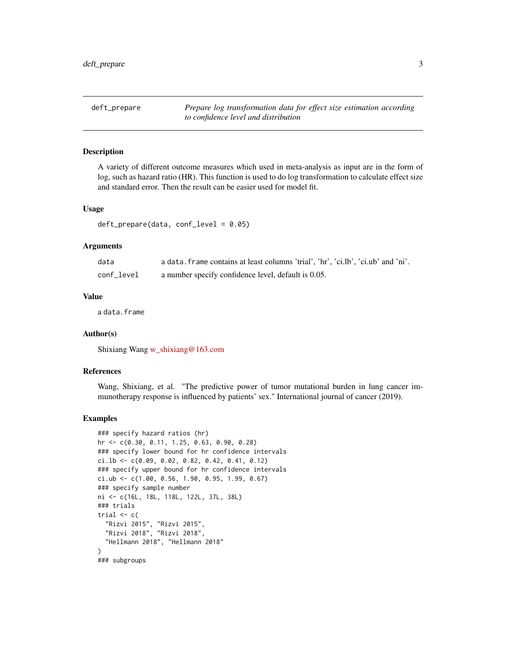<span id="page-2-1"></span><span id="page-2-0"></span>deft\_prepare *Prepare log transformation data for effect size estimation according to confidence level and distribution*

#### **Description**

A variety of different outcome measures which used in meta-analysis as input are in the form of log, such as hazard ratio (HR). This function is used to do log transformation to calculate effect size and standard error. Then the result can be easier used for model fit.

#### Usage

```
deft\_prepare(data, conf\_level = 0.05)
```
#### Arguments

| data       | a data. frame contains at least columns 'trial', 'hr', 'ci.lb', 'ci.ub' and 'ni'. |
|------------|-----------------------------------------------------------------------------------|
| conf level | a number specify confidence level, default is 0.05.                               |

#### Value

a data.frame

#### Author(s)

Shixiang Wang [w\\_shixiang@163.com](mailto:w_shixiang@163.com)

#### References

Wang, Shixiang, et al. "The predictive power of tumor mutational burden in lung cancer immunotherapy response is influenced by patients' sex." International journal of cancer (2019).

#### Examples

```
### specify hazard ratios (hr)
hr <- c(0.30, 0.11, 1.25, 0.63, 0.90, 0.28)
### specify lower bound for hr confidence intervals
ci.lb <- c(0.09, 0.02, 0.82, 0.42, 0.41, 0.12)
### specify upper bound for hr confidence intervals
ci.ub <- c(1.00, 0.56, 1.90, 0.95, 1.99, 0.67)
### specify sample number
ni <- c(16L, 18L, 118L, 122L, 37L, 38L)
### trials
trial \leq c(
  "Rizvi 2015", "Rizvi 2015",
  "Rizvi 2018", "Rizvi 2018",
  "Hellmann 2018", "Hellmann 2018"
\lambda### subgroups
```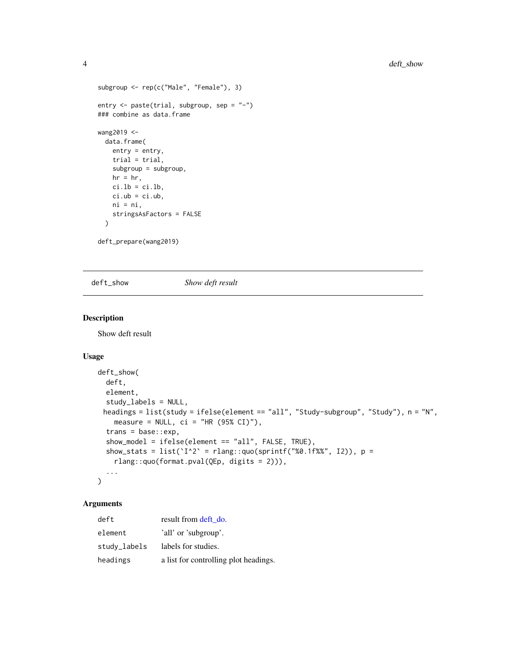```
subgroup <- rep(c("Male", "Female"), 3)
entry <- paste(trial, subgroup, sep = "-")
### combine as data.frame
wang2019 <-
 data.frame(
   entry = entry,
   trial = trial,
   subgroup = subgroup,
   hr = hr,
   ci.1b = ci.1b,ci.ub = ci.ub,ni = ni,
   stringsAsFactors = FALSE
  )
```
deft\_prepare(wang2019)

deft\_show *Show deft result*

## Description

Show deft result

# Usage

```
deft_show(
 deft,
 element,
  study_labels = NULL,
 headings = list(study = ifelse(element == "all", "Study-subgroup", "Study"), n = "N",
   measure = NULL, ci = "HR (95% CI)"),
  trans = base::exp,
  show_model = ifelse(element == "all", FALSE, TRUE),
  show_stats = list(Y^2 = rlang::quo(sprintf("%0.1f%%", I2)), p =
   rlang::quo(format.pval(QEp, digits = 2))),
  ...
\mathcal{L}
```
# Arguments

| deft         | result from deft do.                  |
|--------------|---------------------------------------|
| element      | 'all' or 'subgroup'.                  |
| study_labels | labels for studies.                   |
| headings     | a list for controlling plot headings. |

<span id="page-3-0"></span>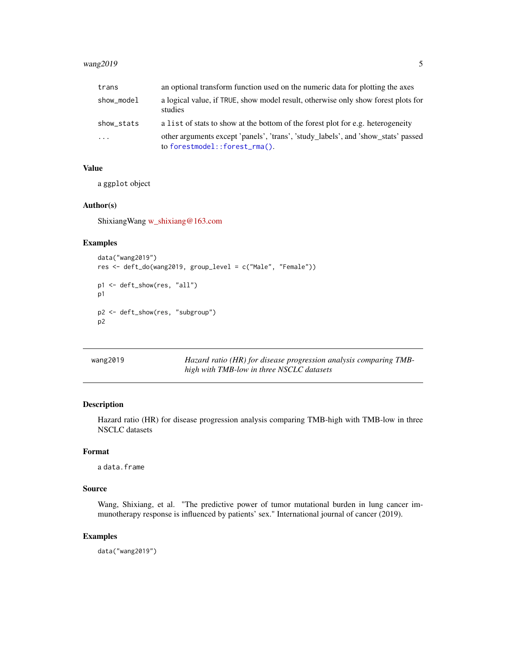# <span id="page-4-0"></span>wang2019 5

| trans      | an optional transform function used on the numeric data for plotting the axes                                      |
|------------|--------------------------------------------------------------------------------------------------------------------|
| show_model | a logical value, if TRUE, show model result, otherwise only show forest plots for<br>studies                       |
| show_stats | a list of stats to show at the bottom of the forest plot for e.g. heterogeneity                                    |
| $\cdots$   | other arguments except 'panels', 'trans', 'study_labels', and 'show_stats' passed<br>to forestmodel::forest_rma(). |

# Value

a ggplot object

# Author(s)

ShixiangWang [w\\_shixiang@163.com](mailto:w_shixiang@163.com)

# Examples

```
data("wang2019")
res <- deft_do(wang2019, group_level = c("Male", "Female"))
p1 <- deft_show(res, "all")
p1
p2 <- deft_show(res, "subgroup")
p2
```

| wang2019 | Hazard ratio (HR) for disease progression analysis comparing TMB- |
|----------|-------------------------------------------------------------------|
|          | high with TMB-low in three NSCLC datasets                         |

# Description

Hazard ratio (HR) for disease progression analysis comparing TMB-high with TMB-low in three NSCLC datasets

#### Format

a data.frame

#### Source

Wang, Shixiang, et al. "The predictive power of tumor mutational burden in lung cancer immunotherapy response is influenced by patients' sex." International journal of cancer (2019).

# Examples

data("wang2019")